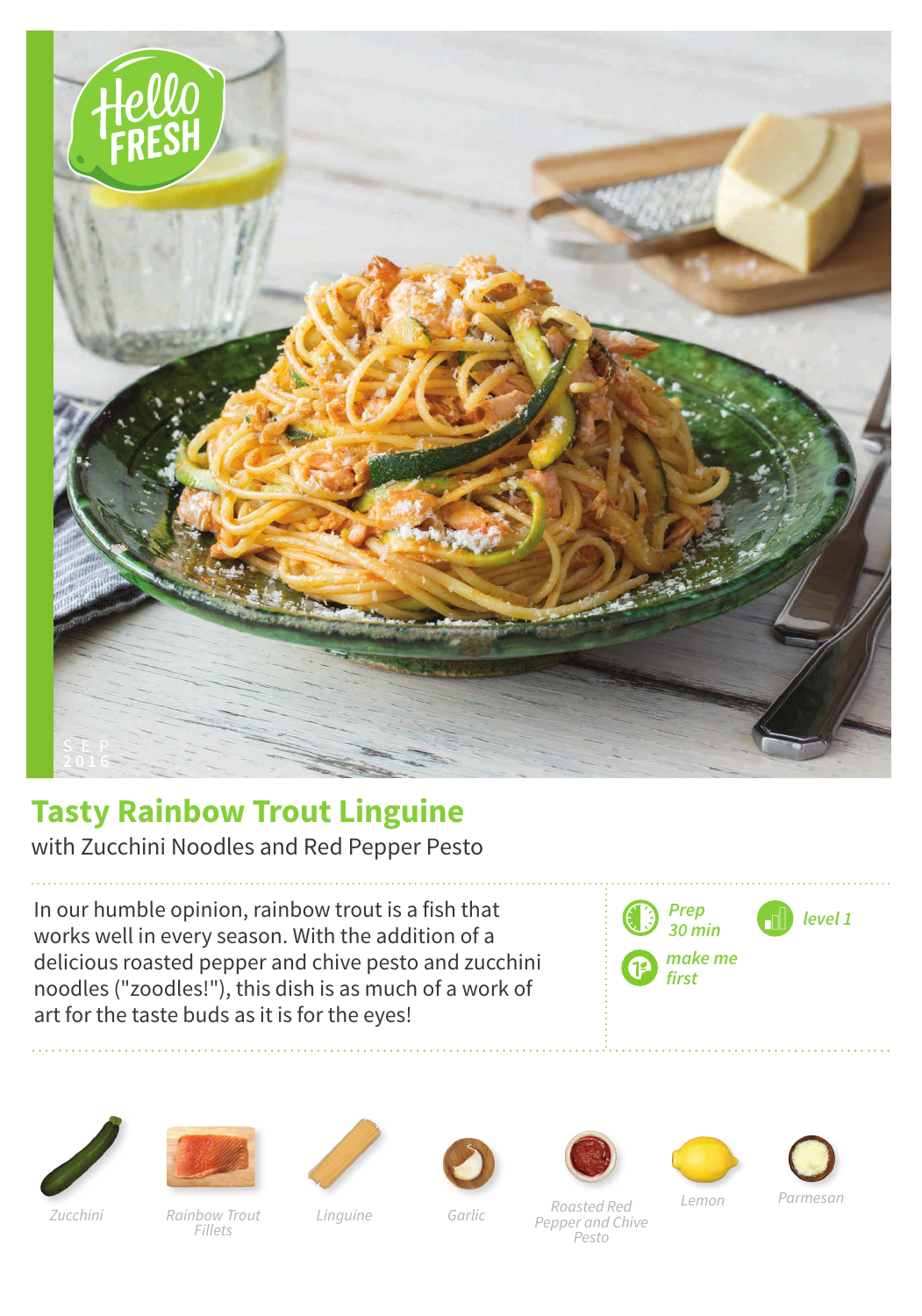

## **Tasty Rainbow Trout Linguine**

with Zucchini Noodles and Red Pepper Pesto

In our humble opinion, rainbow trout is a fish that works well in every season. With the addition of a delicious roasted pepper and chive pesto and zucchini noodles ("zoodles!"), this dish is as much of a work of art for the taste buds as it is for the eyes!



















Rainbow Trout Linguine Zucchini Garlic Fillets

Roasted Red Pepper and Chive Pesto

Lemon Parmesan